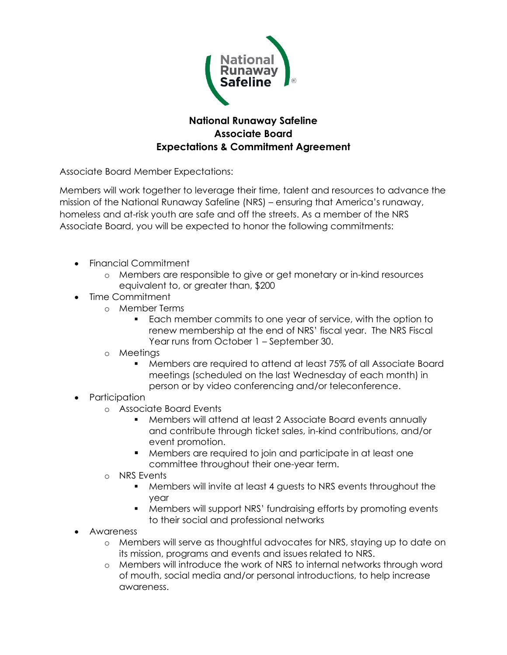

## **National Runaway Safeline Associate Board Expectations & Commitment Agreement**

Associate Board Member Expectations:

Members will work together to leverage their time, talent and resources to advance the mission of the National Runaway Safeline (NRS) – ensuring that America's runaway, homeless and at-risk youth are safe and off the streets. As a member of the NRS Associate Board, you will be expected to honor the following commitments:

- Financial Commitment
	- o Members are responsible to give or get monetary or in-kind resources equivalent to, or greater than, \$200
- Time Commitment
	- o Member Terms
		- Each member commits to one year of service, with the option to renew membership at the end of NRS' fiscal year. The NRS Fiscal Year runs from October 1 – September 30.
	- o Meetings
		- § Members are required to attend at least 75% of all Associate Board meetings (scheduled on the last Wednesday of each month) in person or by video conferencing and/or teleconference.
- Participation
	- o Associate Board Events
		- § Members will attend at least 2 Associate Board events annually and contribute through ticket sales, in-kind contributions, and/or event promotion.
		- § Members are required to join and participate in at least one committee throughout their one-year term.
	- o NRS Events
		- § Members will invite at least 4 guests to NRS events throughout the year
		- § Members will support NRS' fundraising efforts by promoting events to their social and professional networks
- Awareness
	- o Members will serve as thoughtful advocates for NRS, staying up to date on its mission, programs and events and issues related to NRS.
	- o Members will introduce the work of NRS to internal networks through word of mouth, social media and/or personal introductions, to help increase awareness.